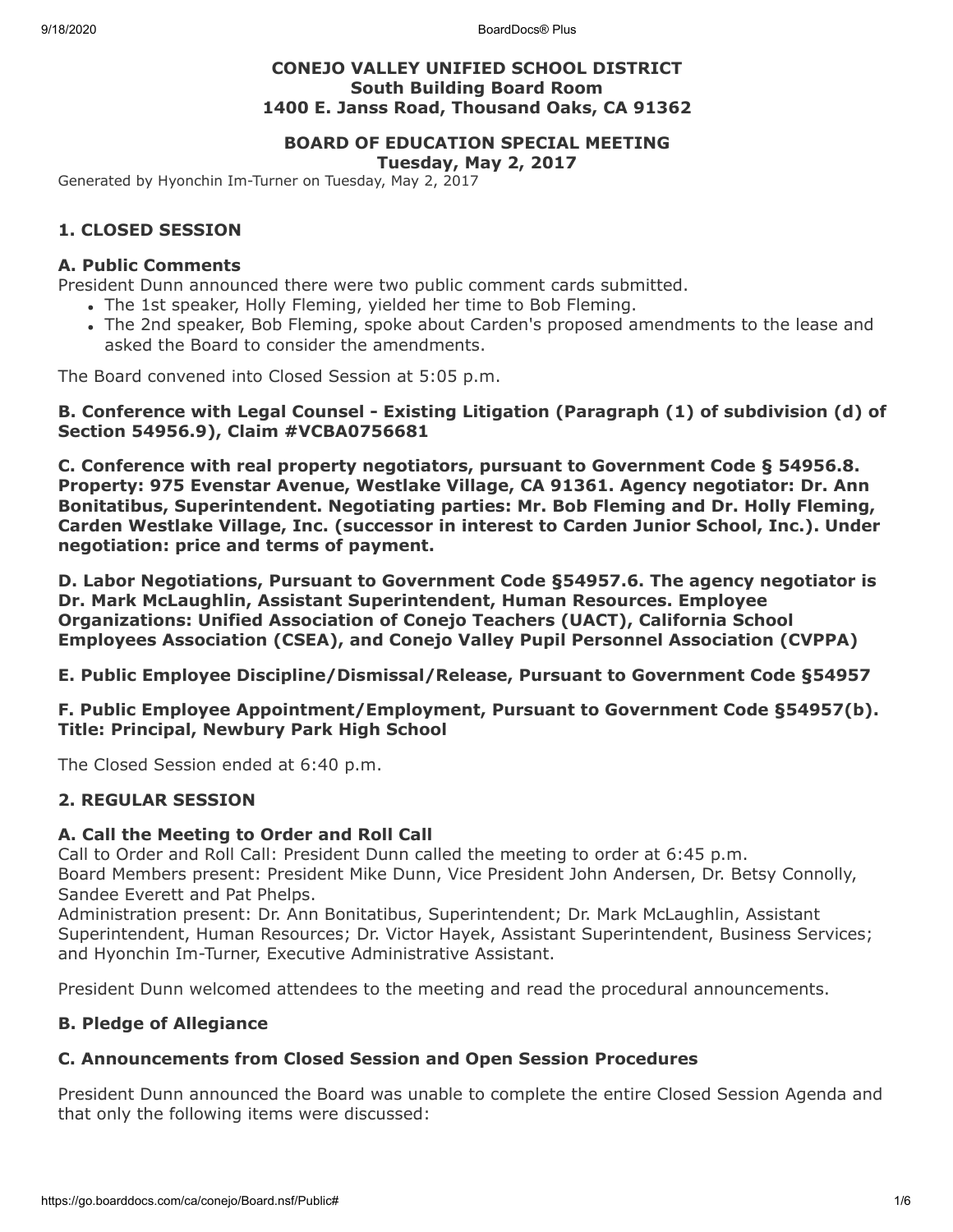9/18/2020 BoardDocs® Plus

## **CONEJO VALLEY UNIFIED SCHOOL DISTRICT South Building Board Room 1400 E. Janss Road, Thousand Oaks, CA 91362**

# **BOARD OF EDUCATION SPECIAL MEETING**

**Tuesday, May 2, 2017**

Generated by Hyonchin Im-Turner on Tuesday, May 2, 2017

## **1. CLOSED SESSION**

## **A. Public Comments**

President Dunn announced there were two public comment cards submitted.

- The 1st speaker, Holly Fleming, yielded her time to Bob Fleming.
- The 2nd speaker, Bob Fleming, spoke about Carden's proposed amendments to the lease and asked the Board to consider the amendments.

The Board convened into Closed Session at 5:05 p.m.

**B. Conference with Legal Counsel - Existing Litigation (Paragraph (1) of subdivision (d) of Section 54956.9), Claim #VCBA0756681**

**C. Conference with real property negotiators, pursuant to Government Code § 54956.8. Property: 975 Evenstar Avenue, Westlake Village, CA 91361. Agency negotiator: Dr. Ann Bonitatibus, Superintendent. Negotiating parties: Mr. Bob Fleming and Dr. Holly Fleming, Carden Westlake Village, Inc. (successor in interest to Carden Junior School, Inc.). Under negotiation: price and terms of payment.**

**D. Labor Negotiations, Pursuant to Government Code §54957.6. The agency negotiator is Dr. Mark McLaughlin, Assistant Superintendent, Human Resources. Employee Organizations: Unified Association of Conejo Teachers (UACT), California School Employees Association (CSEA), and Conejo Valley Pupil Personnel Association (CVPPA)**

#### **E. Public Employee Discipline/Dismissal/Release, Pursuant to Government Code §54957**

**F. Public Employee Appointment/Employment, Pursuant to Government Code §54957(b). Title: Principal, Newbury Park High School**

The Closed Session ended at 6:40 p.m.

## **2. REGULAR SESSION**

#### **A. Call the Meeting to Order and Roll Call**

Call to Order and Roll Call: President Dunn called the meeting to order at 6:45 p.m. Board Members present: President Mike Dunn, Vice President John Andersen, Dr. Betsy Connolly, Sandee Everett and Pat Phelps.

Administration present: Dr. Ann Bonitatibus, Superintendent; Dr. Mark McLaughlin, Assistant Superintendent, Human Resources; Dr. Victor Hayek, Assistant Superintendent, Business Services; and Hyonchin Im-Turner, Executive Administrative Assistant.

President Dunn welcomed attendees to the meeting and read the procedural announcements.

## **B. Pledge of Allegiance**

## **C. Announcements from Closed Session and Open Session Procedures**

President Dunn announced the Board was unable to complete the entire Closed Session Agenda and that only the following items were discussed: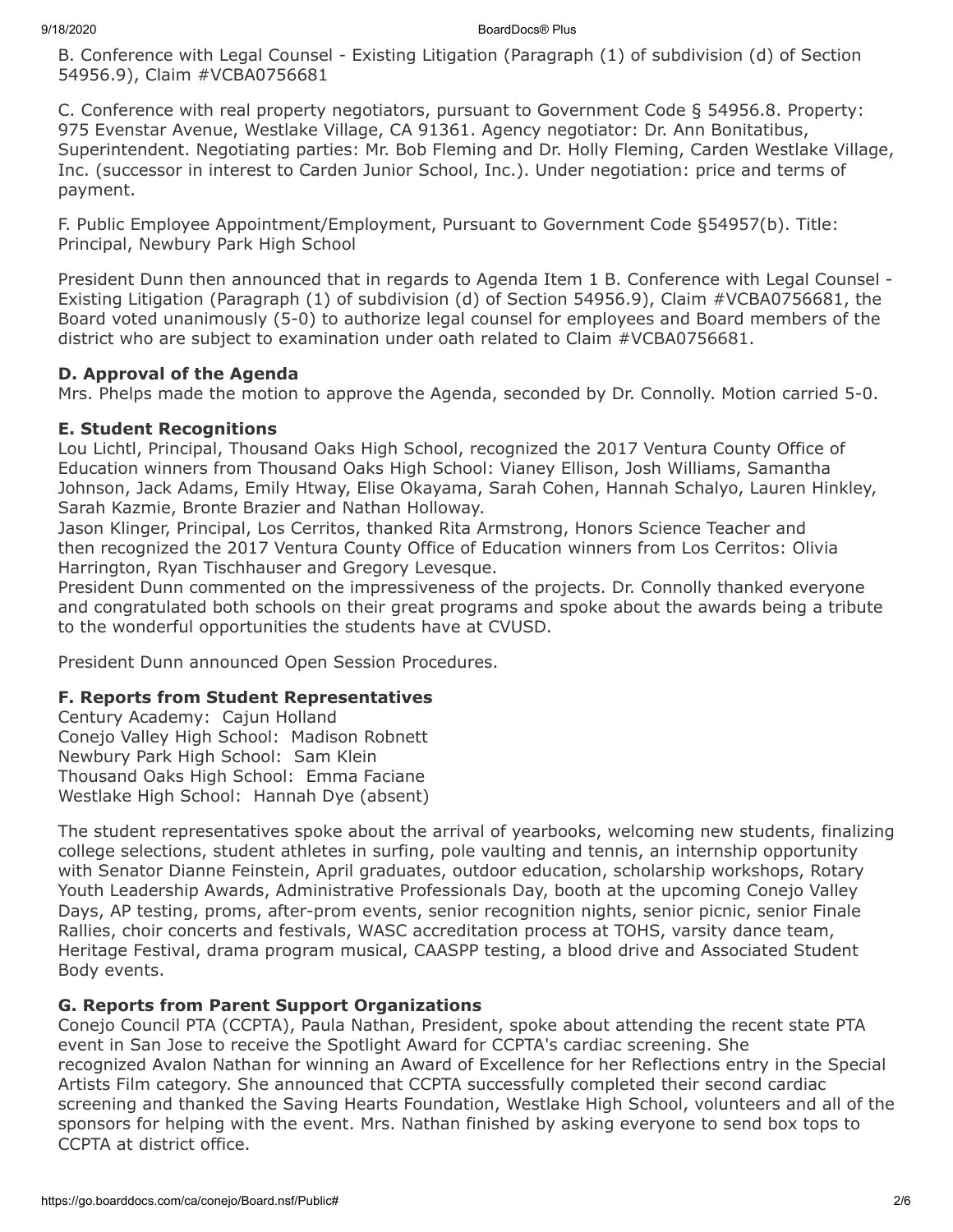B. Conference with Legal Counsel - Existing Litigation (Paragraph (1) of subdivision (d) of Section 54956.9), Claim #VCBA0756681

C. Conference with real property negotiators, pursuant to Government Code § 54956.8. Property: 975 Evenstar Avenue, Westlake Village, CA 91361. Agency negotiator: Dr. Ann Bonitatibus, Superintendent. Negotiating parties: Mr. Bob Fleming and Dr. Holly Fleming, Carden Westlake Village, Inc. (successor in interest to Carden Junior School, Inc.). Under negotiation: price and terms of payment.

F. Public Employee Appointment/Employment, Pursuant to Government Code §54957(b). Title: Principal, Newbury Park High School

President Dunn then announced that in regards to Agenda Item 1 B. Conference with Legal Counsel - Existing Litigation (Paragraph (1) of subdivision (d) of Section 54956.9), Claim #VCBA0756681, the Board voted unanimously (5-0) to authorize legal counsel for employees and Board members of the district who are subject to examination under oath related to Claim #VCBA0756681.

## **D. Approval of the Agenda**

Mrs. Phelps made the motion to approve the Agenda, seconded by Dr. Connolly. Motion carried 5-0.

## **E. Student Recognitions**

Lou Lichtl, Principal, Thousand Oaks High School, recognized the 2017 Ventura County Office of Education winners from Thousand Oaks High School: Vianey Ellison, Josh Williams, Samantha Johnson, Jack Adams, Emily Htway, Elise Okayama, Sarah Cohen, Hannah Schalyo, Lauren Hinkley, Sarah Kazmie, Bronte Brazier and Nathan Holloway.

Jason Klinger, Principal, Los Cerritos, thanked Rita Armstrong, Honors Science Teacher and then recognized the 2017 Ventura County Office of Education winners from Los Cerritos: Olivia Harrington, Ryan Tischhauser and Gregory Levesque.

President Dunn commented on the impressiveness of the projects. Dr. Connolly thanked everyone and congratulated both schools on their great programs and spoke about the awards being a tribute to the wonderful opportunities the students have at CVUSD.

President Dunn announced Open Session Procedures.

## **F. Reports from Student Representatives**

Century Academy: Cajun Holland Conejo Valley High School: Madison Robnett Newbury Park High School: Sam Klein Thousand Oaks High School: Emma Faciane Westlake High School: Hannah Dye (absent)

The student representatives spoke about the arrival of yearbooks, welcoming new students, finalizing college selections, student athletes in surfing, pole vaulting and tennis, an internship opportunity with Senator Dianne Feinstein, April graduates, outdoor education, scholarship workshops, Rotary Youth Leadership Awards, Administrative Professionals Day, booth at the upcoming Conejo Valley Days, AP testing, proms, after-prom events, senior recognition nights, senior picnic, senior Finale Rallies, choir concerts and festivals, WASC accreditation process at TOHS, varsity dance team, Heritage Festival, drama program musical, CAASPP testing, a blood drive and Associated Student Body events.

## **G. Reports from Parent Support Organizations**

Conejo Council PTA (CCPTA), Paula Nathan, President, spoke about attending the recent state PTA event in San Jose to receive the Spotlight Award for CCPTA's cardiac screening. She recognized Avalon Nathan for winning an Award of Excellence for her Reflections entry in the Special Artists Film category. She announced that CCPTA successfully completed their second cardiac screening and thanked the Saving Hearts Foundation, Westlake High School, volunteers and all of the sponsors for helping with the event. Mrs. Nathan finished by asking everyone to send box tops to CCPTA at district office.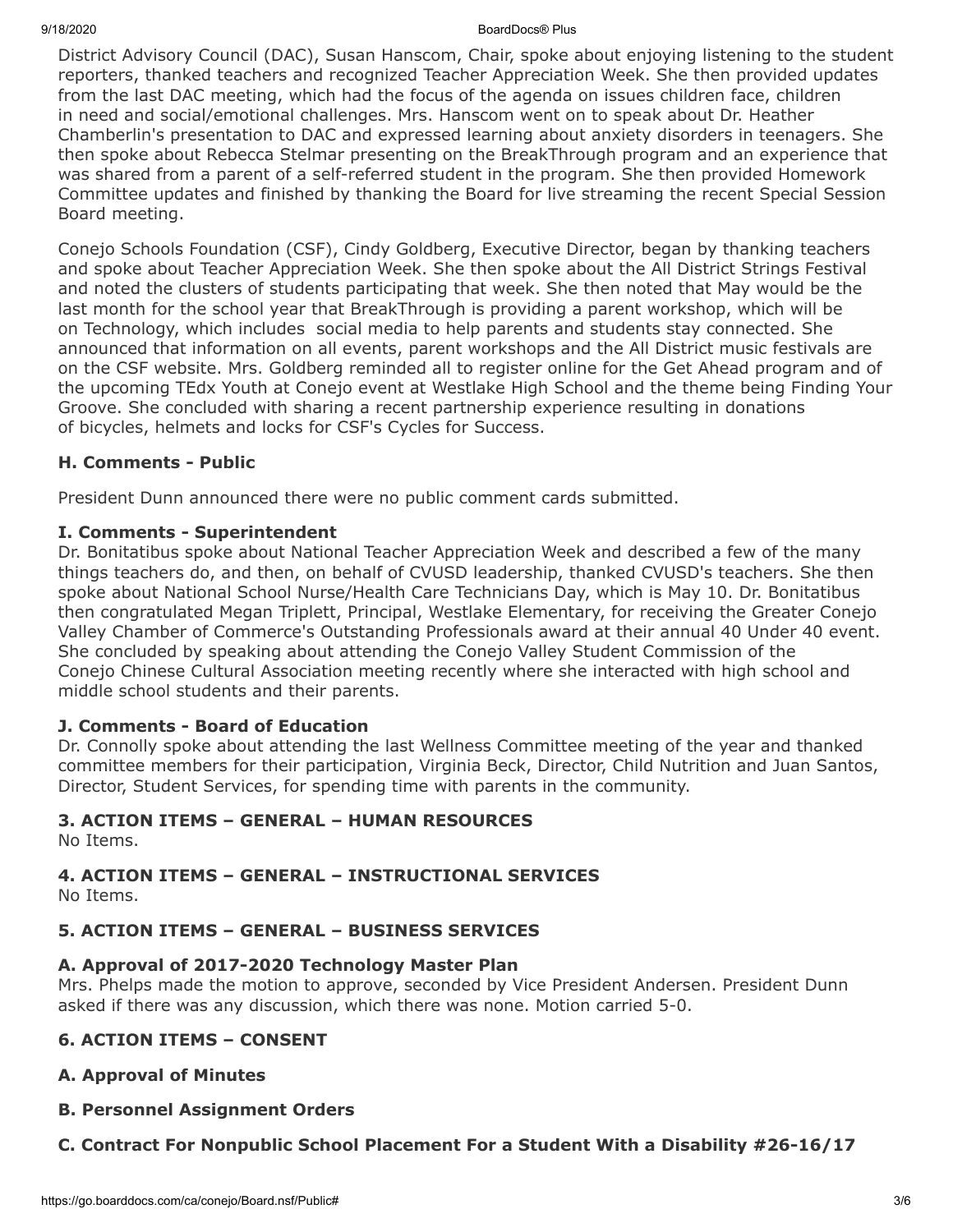#### 9/18/2020 BoardDocs® Plus

District Advisory Council (DAC), Susan Hanscom, Chair, spoke about enjoying listening to the student reporters, thanked teachers and recognized Teacher Appreciation Week. She then provided updates from the last DAC meeting, which had the focus of the agenda on issues children face, children in need and social/emotional challenges. Mrs. Hanscom went on to speak about Dr. Heather Chamberlin's presentation to DAC and expressed learning about anxiety disorders in teenagers. She then spoke about Rebecca Stelmar presenting on the BreakThrough program and an experience that was shared from a parent of a self-referred student in the program. She then provided Homework Committee updates and finished by thanking the Board for live streaming the recent Special Session Board meeting.

Conejo Schools Foundation (CSF), Cindy Goldberg, Executive Director, began by thanking teachers and spoke about Teacher Appreciation Week. She then spoke about the All District Strings Festival and noted the clusters of students participating that week. She then noted that May would be the last month for the school year that BreakThrough is providing a parent workshop, which will be on Technology, which includes social media to help parents and students stay connected. She announced that information on all events, parent workshops and the All District music festivals are on the CSF website. Mrs. Goldberg reminded all to register online for the Get Ahead program and of the upcoming TEdx Youth at Conejo event at Westlake High School and the theme being Finding Your Groove. She concluded with sharing a recent partnership experience resulting in donations of bicycles, helmets and locks for CSF's Cycles for Success.

## **H. Comments - Public**

President Dunn announced there were no public comment cards submitted.

## **I. Comments - Superintendent**

Dr. Bonitatibus spoke about National Teacher Appreciation Week and described a few of the many things teachers do, and then, on behalf of CVUSD leadership, thanked CVUSD's teachers. She then spoke about National School Nurse/Health Care Technicians Day, which is May 10. Dr. Bonitatibus then congratulated Megan Triplett, Principal, Westlake Elementary, for receiving the Greater Conejo Valley Chamber of Commerce's Outstanding Professionals award at their annual 40 Under 40 event. She concluded by speaking about attending the Conejo Valley Student Commission of the Conejo Chinese Cultural Association meeting recently where she interacted with high school and middle school students and their parents.

## **J. Comments - Board of Education**

Dr. Connolly spoke about attending the last Wellness Committee meeting of the year and thanked committee members for their participation, Virginia Beck, Director, Child Nutrition and Juan Santos, Director, Student Services, for spending time with parents in the community.

## **3. ACTION ITEMS – GENERAL – HUMAN RESOURCES**

No Items.

## **4. ACTION ITEMS – GENERAL – INSTRUCTIONAL SERVICES**

No Items.

## **5. ACTION ITEMS – GENERAL – BUSINESS SERVICES**

## **A. Approval of 2017-2020 Technology Master Plan**

Mrs. Phelps made the motion to approve, seconded by Vice President Andersen. President Dunn asked if there was any discussion, which there was none. Motion carried 5-0.

## **6. ACTION ITEMS – CONSENT**

## **A. Approval of Minutes**

## **B. Personnel Assignment Orders**

## **C. Contract For Nonpublic School Placement For a Student With a Disability #26-16/17**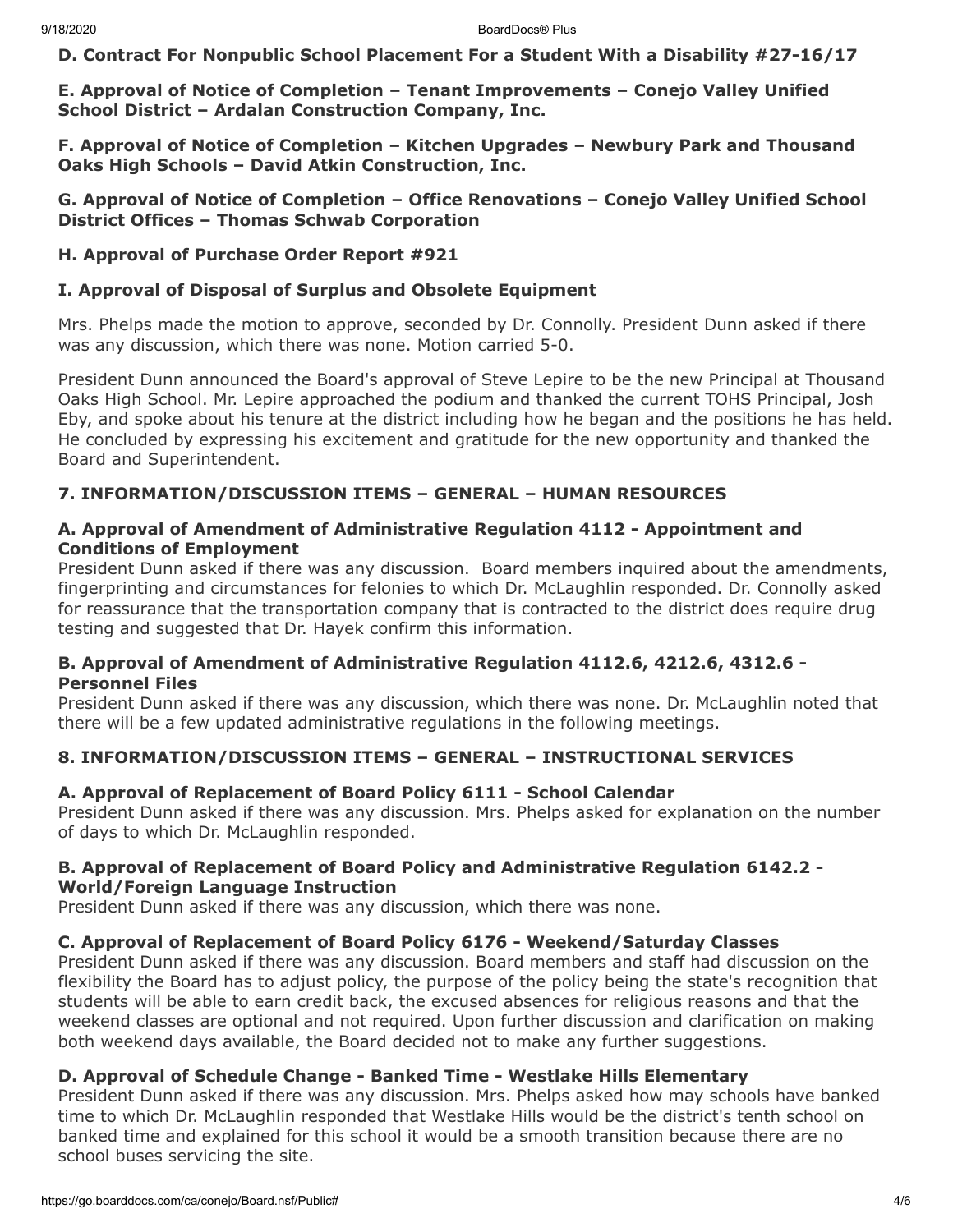**D. Contract For Nonpublic School Placement For a Student With a Disability #27-16/17**

**E. Approval of Notice of Completion – Tenant Improvements – Conejo Valley Unified School District – Ardalan Construction Company, Inc.**

**F. Approval of Notice of Completion – Kitchen Upgrades – Newbury Park and Thousand Oaks High Schools – David Atkin Construction, Inc.**

#### **G. Approval of Notice of Completion – Office Renovations – Conejo Valley Unified School District Offices – Thomas Schwab Corporation**

## **H. Approval of Purchase Order Report #921**

#### **I. Approval of Disposal of Surplus and Obsolete Equipment**

Mrs. Phelps made the motion to approve, seconded by Dr. Connolly. President Dunn asked if there was any discussion, which there was none. Motion carried 5-0.

President Dunn announced the Board's approval of Steve Lepire to be the new Principal at Thousand Oaks High School. Mr. Lepire approached the podium and thanked the current TOHS Principal, Josh Eby, and spoke about his tenure at the district including how he began and the positions he has held. He concluded by expressing his excitement and gratitude for the new opportunity and thanked the Board and Superintendent.

## **7. INFORMATION/DISCUSSION ITEMS – GENERAL – HUMAN RESOURCES**

#### **A. Approval of Amendment of Administrative Regulation 4112 - Appointment and Conditions of Employment**

President Dunn asked if there was any discussion. Board members inquired about the amendments, fingerprinting and circumstances for felonies to which Dr. McLaughlin responded. Dr. Connolly asked for reassurance that the transportation company that is contracted to the district does require drug testing and suggested that Dr. Hayek confirm this information.

## **B. Approval of Amendment of Administrative Regulation 4112.6, 4212.6, 4312.6 - Personnel Files**

President Dunn asked if there was any discussion, which there was none. Dr. McLaughlin noted that there will be a few updated administrative regulations in the following meetings.

## **8. INFORMATION/DISCUSSION ITEMS – GENERAL – INSTRUCTIONAL SERVICES**

## **A. Approval of Replacement of Board Policy 6111 - School Calendar**

President Dunn asked if there was any discussion. Mrs. Phelps asked for explanation on the number of days to which Dr. McLaughlin responded.

## **B. Approval of Replacement of Board Policy and Administrative Regulation 6142.2 - World/Foreign Language Instruction**

President Dunn asked if there was any discussion, which there was none.

## **C. Approval of Replacement of Board Policy 6176 - Weekend/Saturday Classes**

President Dunn asked if there was any discussion. Board members and staff had discussion on the flexibility the Board has to adjust policy, the purpose of the policy being the state's recognition that students will be able to earn credit back, the excused absences for religious reasons and that the weekend classes are optional and not required. Upon further discussion and clarification on making both weekend days available, the Board decided not to make any further suggestions.

#### **D. Approval of Schedule Change - Banked Time - Westlake Hills Elementary**

President Dunn asked if there was any discussion. Mrs. Phelps asked how may schools have banked time to which Dr. McLaughlin responded that Westlake Hills would be the district's tenth school on banked time and explained for this school it would be a smooth transition because there are no school buses servicing the site.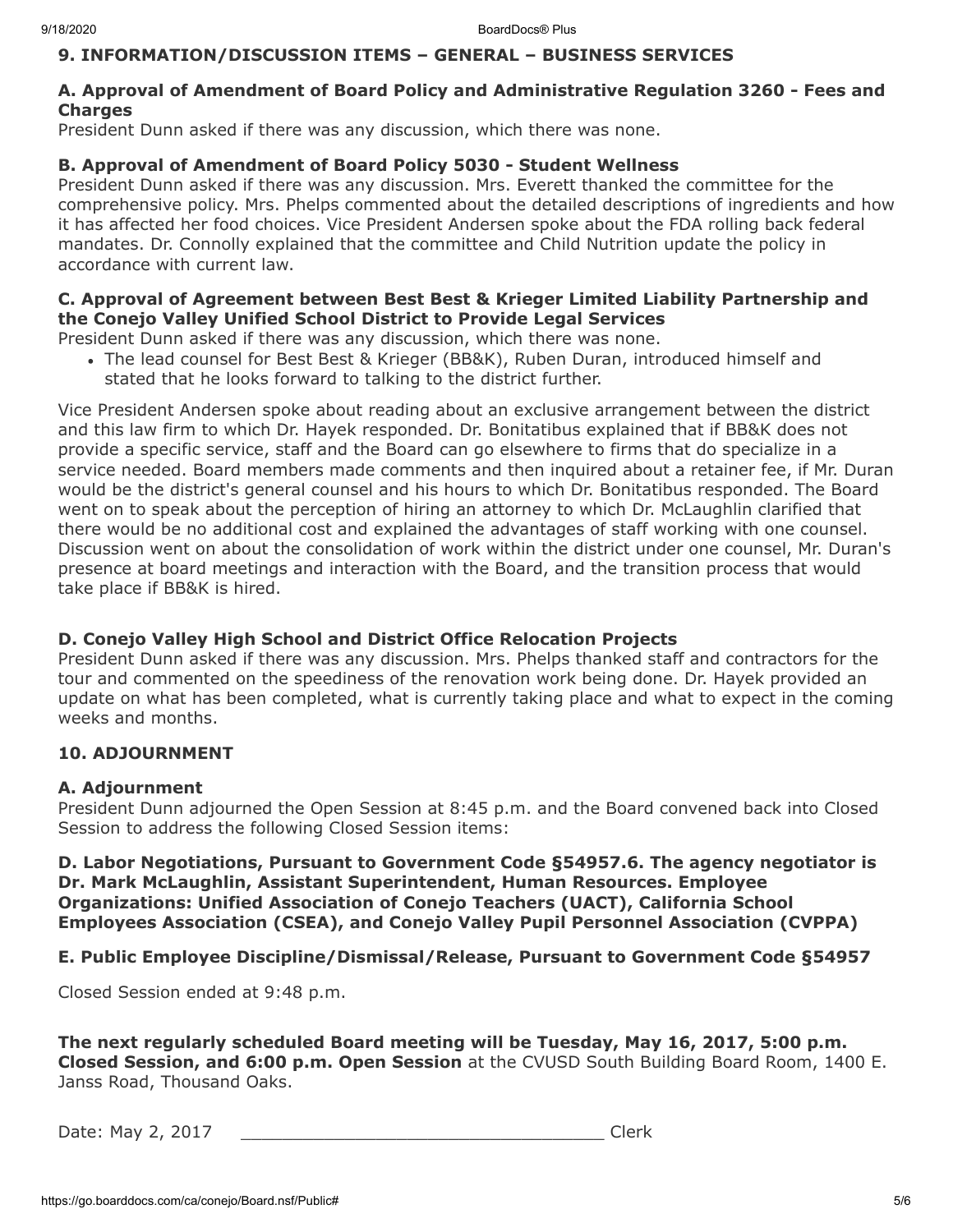## **9. INFORMATION/DISCUSSION ITEMS – GENERAL – BUSINESS SERVICES**

## **A. Approval of Amendment of Board Policy and Administrative Regulation 3260 - Fees and Charges**

President Dunn asked if there was any discussion, which there was none.

## **B. Approval of Amendment of Board Policy 5030 - Student Wellness**

President Dunn asked if there was any discussion. Mrs. Everett thanked the committee for the comprehensive policy. Mrs. Phelps commented about the detailed descriptions of ingredients and how it has affected her food choices. Vice President Andersen spoke about the FDA rolling back federal mandates. Dr. Connolly explained that the committee and Child Nutrition update the policy in accordance with current law.

## **C. Approval of Agreement between Best Best & Krieger Limited Liability Partnership and the Conejo Valley Unified School District to Provide Legal Services**

President Dunn asked if there was any discussion, which there was none.

• The lead counsel for Best Best & Krieger (BB&K), Ruben Duran, introduced himself and stated that he looks forward to talking to the district further.

Vice President Andersen spoke about reading about an exclusive arrangement between the district and this law firm to which Dr. Hayek responded. Dr. Bonitatibus explained that if BB&K does not provide a specific service, staff and the Board can go elsewhere to firms that do specialize in a service needed. Board members made comments and then inquired about a retainer fee, if Mr. Duran would be the district's general counsel and his hours to which Dr. Bonitatibus responded. The Board went on to speak about the perception of hiring an attorney to which Dr. McLaughlin clarified that there would be no additional cost and explained the advantages of staff working with one counsel. Discussion went on about the consolidation of work within the district under one counsel, Mr. Duran's presence at board meetings and interaction with the Board, and the transition process that would take place if BB&K is hired.

## **D. Conejo Valley High School and District Office Relocation Projects**

President Dunn asked if there was any discussion. Mrs. Phelps thanked staff and contractors for the tour and commented on the speediness of the renovation work being done. Dr. Hayek provided an update on what has been completed, what is currently taking place and what to expect in the coming weeks and months.

## **10. ADJOURNMENT**

## **A. Adjournment**

President Dunn adjourned the Open Session at 8:45 p.m. and the Board convened back into Closed Session to address the following Closed Session items:

**D. Labor Negotiations, Pursuant to Government Code §54957.6. The agency negotiator is Dr. Mark McLaughlin, Assistant Superintendent, Human Resources. Employee Organizations: Unified Association of Conejo Teachers (UACT), California School Employees Association (CSEA), and Conejo Valley Pupil Personnel Association (CVPPA)**

## **E. Public Employee Discipline/Dismissal/Release, Pursuant to Government Code §54957**

Closed Session ended at 9:48 p.m.

**The next regularly scheduled Board meeting will be Tuesday, May 16, 2017, 5:00 p.m. Closed Session, and 6:00 p.m. Open Session** at the CVUSD South Building Board Room, 1400 E. Janss Road, Thousand Oaks.

Date: May 2, 2017 \_\_\_\_\_\_\_\_\_\_\_\_\_\_\_\_\_\_\_\_\_\_\_\_\_\_\_\_\_\_\_\_\_\_\_ Clerk